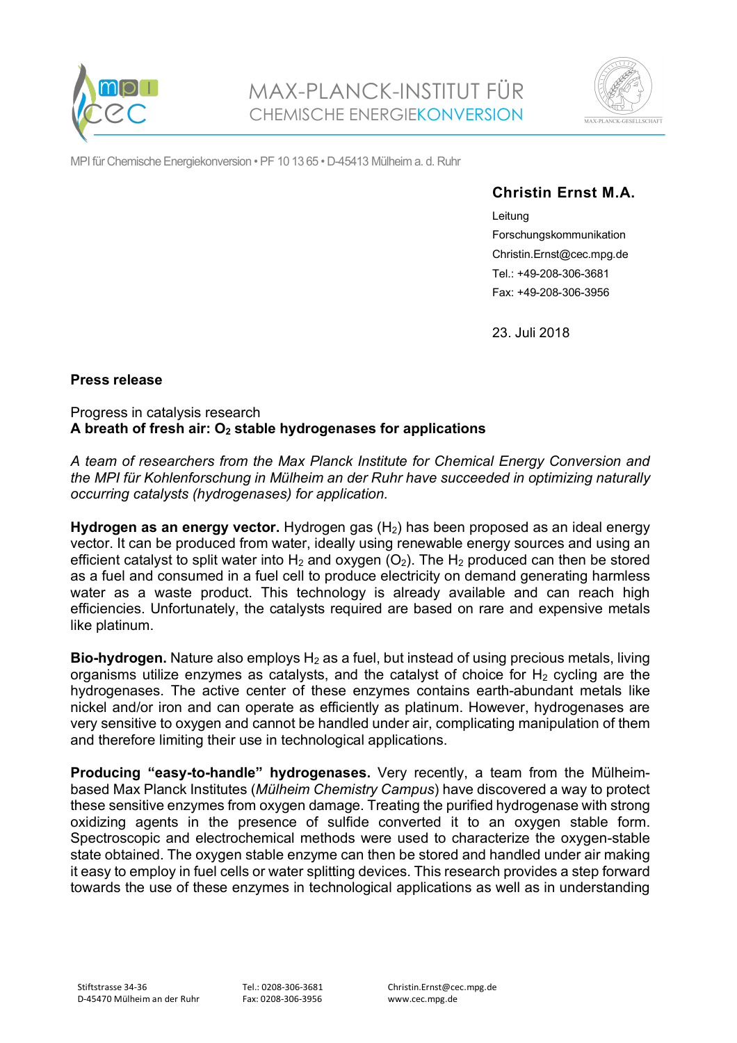



MPI für Chemische Energiekonversion • PF 10 13 65 • D-45413 Mülheim a. d. Ruhr

# **Christin Ernst M.A.**

Leitung Forschungskommunikation Christin.Ernst@cec.mpg.de Tel.: +49-208-306-3681 Fax: +49-208-306-3956

23. Juli 2018

# **Press release**

### Progress in catalysis research **A breath of fresh air: O2 stable hydrogenases for applications**

*A team of researchers from the Max Planck Institute for Chemical Energy Conversion and the MPI für Kohlenforschung in Mülheim an der Ruhr have succeeded in optimizing naturally occurring catalysts (hydrogenases) for application.*

**Hydrogen as an energy vector.** Hydrogen gas (H<sub>2</sub>) has been proposed as an ideal energy vector. It can be produced from water, ideally using renewable energy sources and using an efficient catalyst to split water into  $H_2$  and oxygen (O<sub>2</sub>). The  $H_2$  produced can then be stored as a fuel and consumed in a fuel cell to produce electricity on demand generating harmless water as a waste product. This technology is already available and can reach high efficiencies. Unfortunately, the catalysts required are based on rare and expensive metals like platinum.

**Bio-hydrogen.** Nature also employs H<sub>2</sub> as a fuel, but instead of using precious metals, living organisms utilize enzymes as catalysts, and the catalyst of choice for  $H_2$  cycling are the hydrogenases. The active center of these enzymes contains earth-abundant metals like nickel and/or iron and can operate as efficiently as platinum. However, hydrogenases are very sensitive to oxygen and cannot be handled under air, complicating manipulation of them and therefore limiting their use in technological applications.

**Producing "easy-to-handle" hydrogenases.** Very recently, a team from the Mülheimbased Max Planck Institutes (*Mülheim Chemistry Campus*) have discovered a way to protect these sensitive enzymes from oxygen damage. Treating the purified hydrogenase with strong oxidizing agents in the presence of sulfide converted it to an oxygen stable form. Spectroscopic and electrochemical methods were used to characterize the oxygen-stable state obtained. The oxygen stable enzyme can then be stored and handled under air making it easy to employ in fuel cells or water splitting devices. This research provides a step forward towards the use of these enzymes in technological applications as well as in understanding